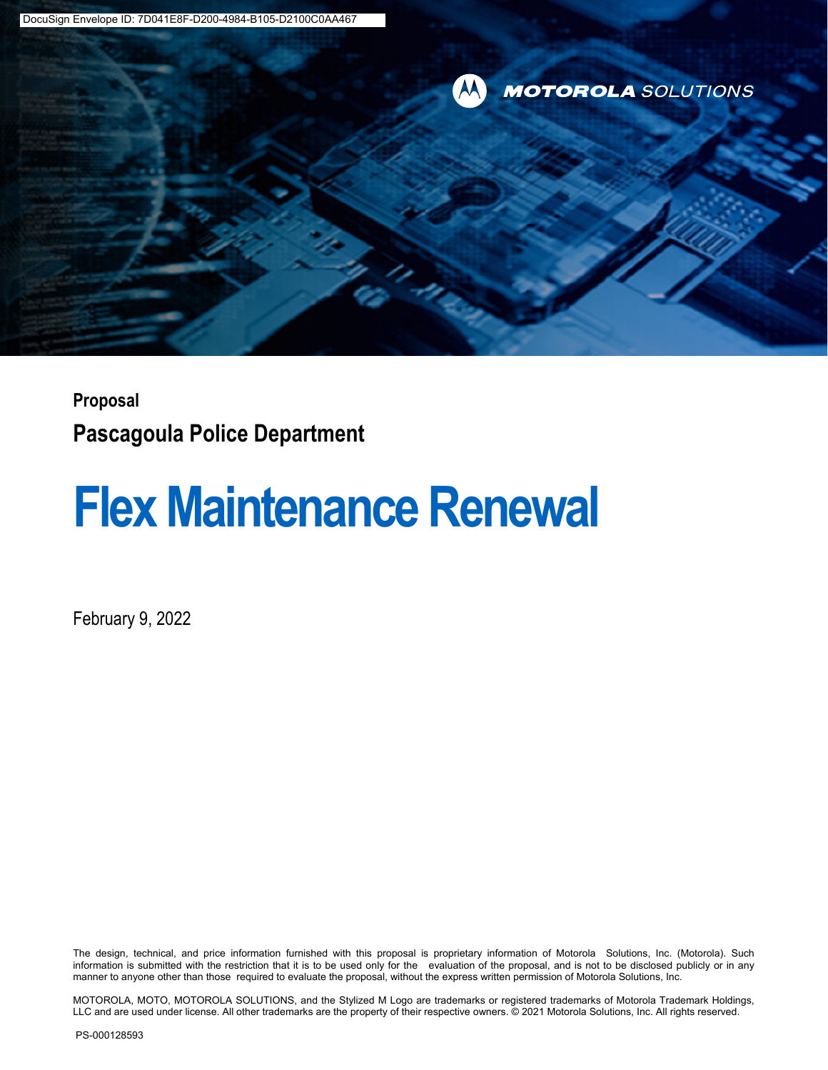

### **Proposal Pascagoula Police Department**

## **Flex Maintenance Renewal**

February 9, 2022

The design, technical, and price information furnished with this proposal is proprietary information of Motorola Solutions, Inc. (Motorola). Such information is submitted with the restriction that it is to be used only for the evaluation of the proposal, and is not to be disclosed publicly or in any manner to anyone other than those required to evaluate the proposal, without the express written permission of Motorola Solutions, Inc.

MOTOROLA, MOTO, MOTOROLA SOLUTIONS, and the Stylized M Logo are trademarks or registered trademarks of Motorola Trademark Holdings, LLC and are used under license. All other trademarks are the property of their respective owners. © 2021 Motorola Solutions, Inc. All rights reserved.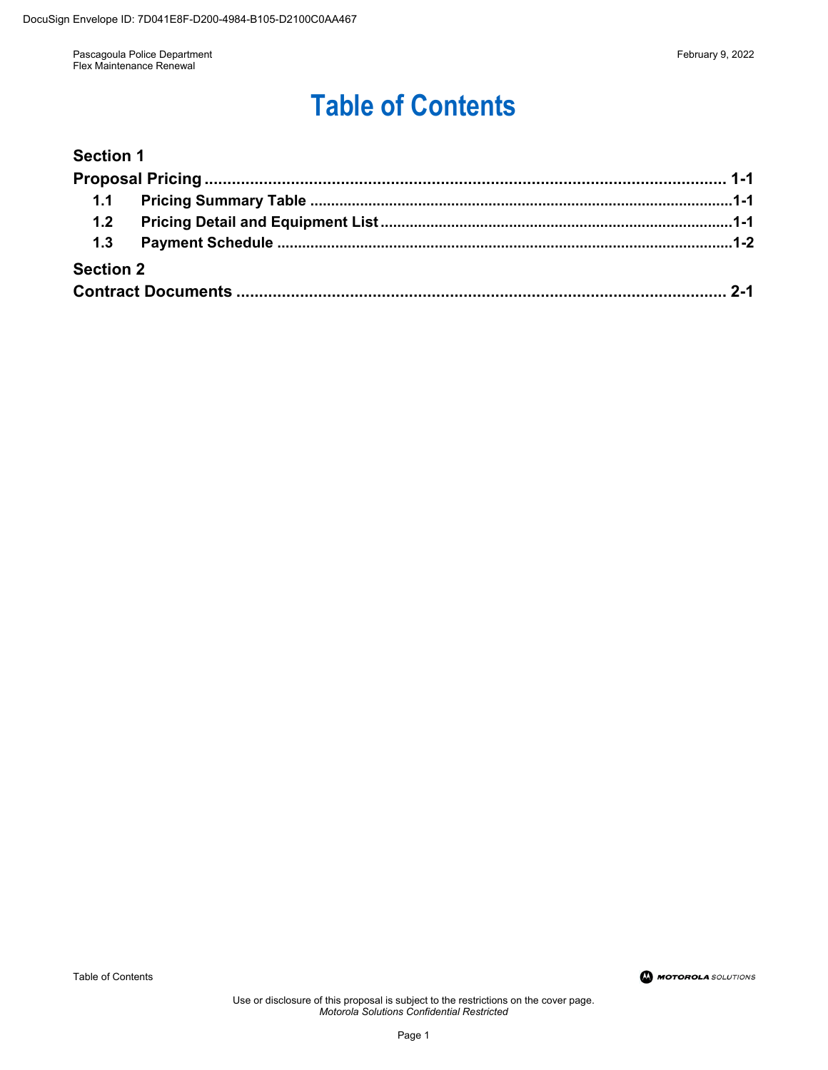## **Table of Contents**

#### **[Section 1](#page--1-0)**

| 1.2              |  |
|------------------|--|
|                  |  |
| <b>Section 2</b> |  |
|                  |  |

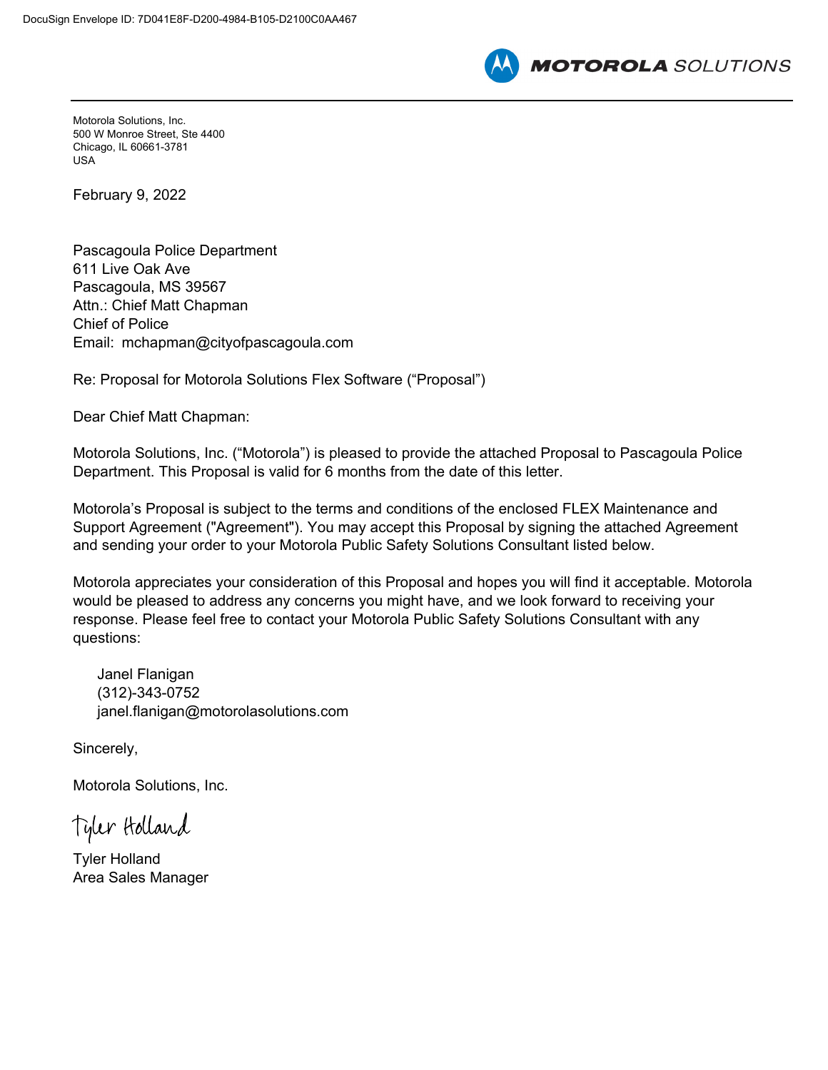

Motorola Solutions, Inc. 500 W Monroe Street, Ste 4400 Chicago, IL 60661-3781 USA

February 9, 2022

Pascagoula Police Department 611 Live Oak Ave Pascagoula, MS 39567 Attn.: Chief Matt Chapman Chief of Police Email: mchapman@cityofpascagoula.com

Re: Proposal for Motorola Solutions Flex Software ("Proposal")

Dear Chief Matt Chapman:

Motorola Solutions, Inc. ("Motorola") is pleased to provide the attached Proposal to Pascagoula Police Department. This Proposal is valid for 6 months from the date of this letter.

Motorola's Proposal is subject to the terms and conditions of the enclosed FLEX Maintenance and Support Agreement ("Agreement"). You may accept this Proposal by signing the attached Agreement and sending your order to your Motorola Public Safety Solutions Consultant listed below.

Motorola appreciates your consideration of this Proposal and hopes you will find it acceptable. Motorola would be pleased to address any concerns you might have, and we look forward to receiving your response. Please feel free to contact your Motorola Public Safety Solutions Consultant with any questions:

Janel Flanigan (312)-343-0752 janel.flanigan@motorolasolutions.com

Sincerely,

Motorola Solutions, Inc.

Tyler Holland

Tyler Holland Area Sales Manager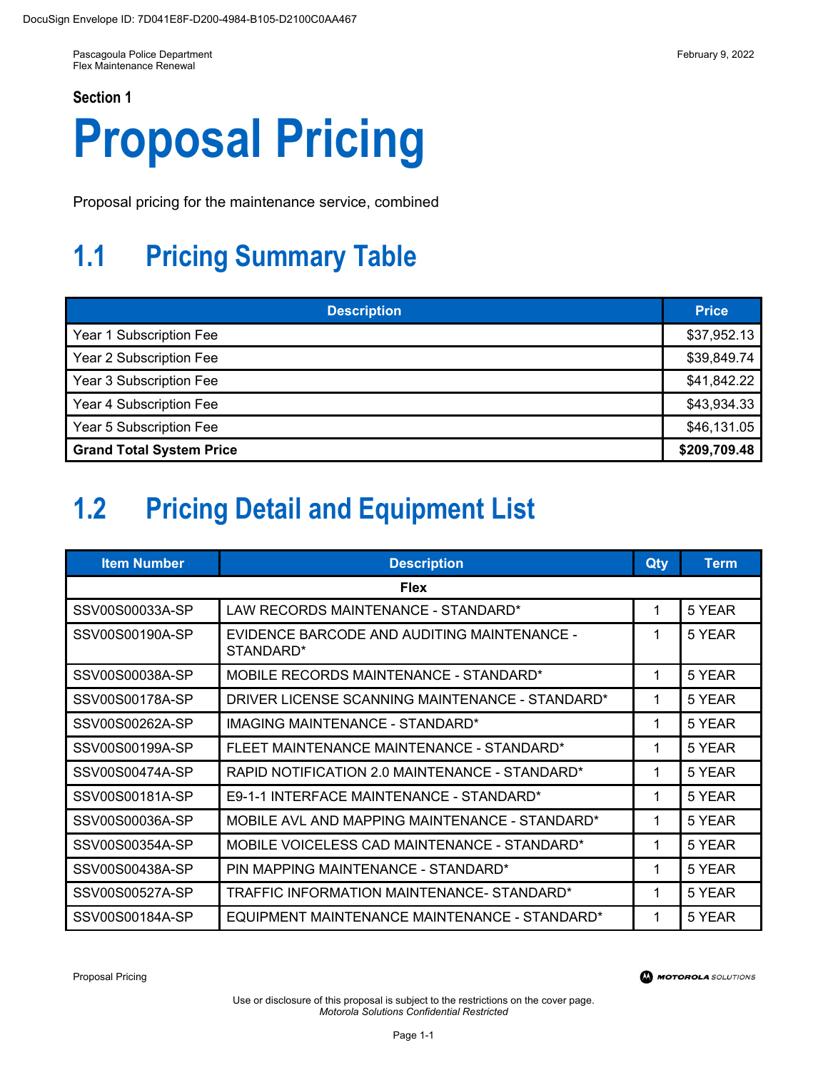# **Proposal Pricing**

Proposal pricing for the maintenance service, combined

## **1.1 Pricing Summary Table**

| <b>Description</b>              | <b>Price</b> |
|---------------------------------|--------------|
| Year 1 Subscription Fee         | \$37,952.13  |
| Year 2 Subscription Fee         | \$39,849.74  |
| Year 3 Subscription Fee         | \$41,842.22  |
| Year 4 Subscription Fee         | \$43,934.33  |
| Year 5 Subscription Fee         | \$46,131.05  |
| <b>Grand Total System Price</b> |              |

## **1.2 Pricing Detail and Equipment List**

| <b>Item Number</b> | <b>Description</b>                                       | Qty | <b>Term</b> |  |
|--------------------|----------------------------------------------------------|-----|-------------|--|
| <b>Flex</b>        |                                                          |     |             |  |
| SSV00S00033A-SP    | LAW RECORDS MAINTENANCE - STANDARD*                      | 1   | 5 YEAR      |  |
| SSV00S00190A-SP    | EVIDENCE BARCODE AND AUDITING MAINTENANCE -<br>STANDARD* | 1   | 5 YEAR      |  |
| SSV00S00038A-SP    | MOBILE RECORDS MAINTENANCE - STANDARD*                   | 1   | 5 YEAR      |  |
| SSV00S00178A-SP    | DRIVER LICENSE SCANNING MAINTENANCE - STANDARD*          | 1   | 5 YEAR      |  |
| SSV00S00262A-SP    | IMAGING MAINTENANCE - STANDARD*                          | 1   | 5 YEAR      |  |
| SSV00S00199A-SP    | FLEET MAINTENANCE MAINTENANCE - STANDARD*                | 1   | 5 YEAR      |  |
| SSV00S00474A-SP    | RAPID NOTIFICATION 2.0 MAINTENANCE - STANDARD*           | 1   | 5 YEAR      |  |
| SSV00S00181A-SP    | E9-1-1 INTERFACE MAINTENANCE - STANDARD*                 | 1   | 5 YEAR      |  |
| SSV00S00036A-SP    | MOBILE AVL AND MAPPING MAINTENANCE - STANDARD*           | 1   | 5 YEAR      |  |
| SSV00S00354A-SP    | MOBILE VOICELESS CAD MAINTENANCE - STANDARD*             | 1   | 5 YEAR      |  |
| SSV00S00438A-SP    | PIN MAPPING MAINTENANCE - STANDARD*                      | 1   | 5 YEAR      |  |
| SSV00S00527A-SP    | TRAFFIC INFORMATION MAINTENANCE- STANDARD*               | 1   | 5 YEAR      |  |
| SSV00S00184A-SP    | EQUIPMENT MAINTENANCE MAINTENANCE - STANDARD*            | 1   | 5 YEAR      |  |

Proposal Pricing

**MOTOROLA** SOLUTIONS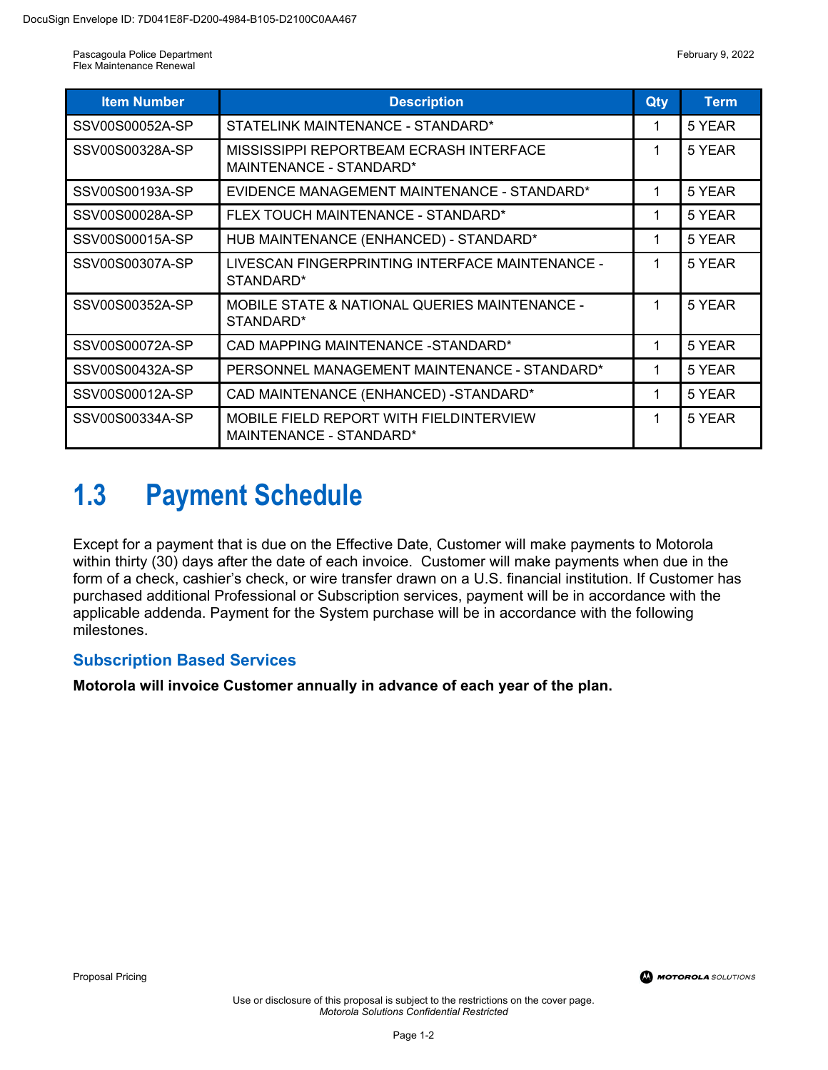| <b>Item Number</b> | <b>Description</b>                                                 | Qty | <b>Term</b> |
|--------------------|--------------------------------------------------------------------|-----|-------------|
| SSV00S00052A-SP    | STATELINK MAINTENANCE - STANDARD*                                  | 1   | 5 YEAR      |
| SSV00S00328A-SP    | MISSISSIPPI REPORTBEAM ECRASH INTERFACE<br>MAINTENANCE - STANDARD* | 1   | 5 YEAR      |
| SSV00S00193A-SP    | EVIDENCE MANAGEMENT MAINTENANCE - STANDARD*                        | 1   | 5 YEAR      |
| SSV00S00028A-SP    | FLEX TOUCH MAINTENANCE - STANDARD*                                 | 1   | 5 YEAR      |
| SSV00S00015A-SP    | HUB MAINTENANCE (ENHANCED) - STANDARD*                             | 1   | 5 YEAR      |
| SSV00S00307A-SP    | LIVESCAN FINGERPRINTING INTERFACE MAINTENANCE -<br>STANDARD*       | 1   | 5 YEAR      |
| SSV00S00352A-SP    | MOBILE STATE & NATIONAL QUERIES MAINTENANCE -<br>STANDARD*         | 1   | 5 YEAR      |
| SSV00S00072A-SP    | CAD MAPPING MAINTENANCE - STANDARD*                                | 1   | 5 YEAR      |
| SSV00S00432A-SP    | PERSONNEL MANAGEMENT MAINTENANCE - STANDARD*                       | 1   | 5 YEAR      |
| SSV00S00012A-SP    | CAD MAINTENANCE (ENHANCED) - STANDARD*                             | 1   | 5 YEAR      |
| SSV00S00334A-SP    | MOBILE FIELD REPORT WITH FIELDINTERVIEW<br>MAINTENANCE - STANDARD* | 1   | 5 YEAR      |

## **1.3 Payment Schedule**

Except for a payment that is due on the Effective Date, Customer will make payments to Motorola within thirty (30) days after the date of each invoice. Customer will make payments when due in the form of a check, cashier's check, or wire transfer drawn on a U.S. financial institution. If Customer has purchased additional Professional or Subscription services, payment will be in accordance with the applicable addenda. Payment for the System purchase will be in accordance with the following milestones.

#### **Subscription Based Services**

**Motorola will invoice Customer annually in advance of each year of the plan.**

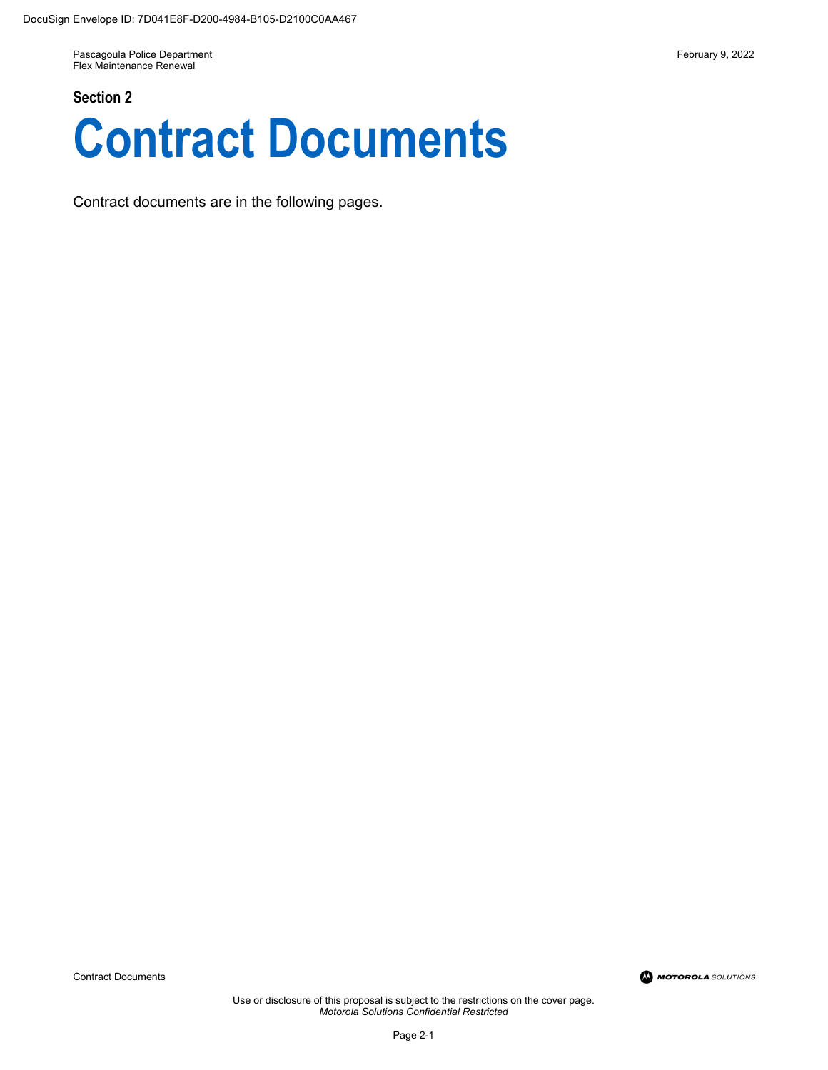#### **Section 2**



Contract documents are in the following pages.

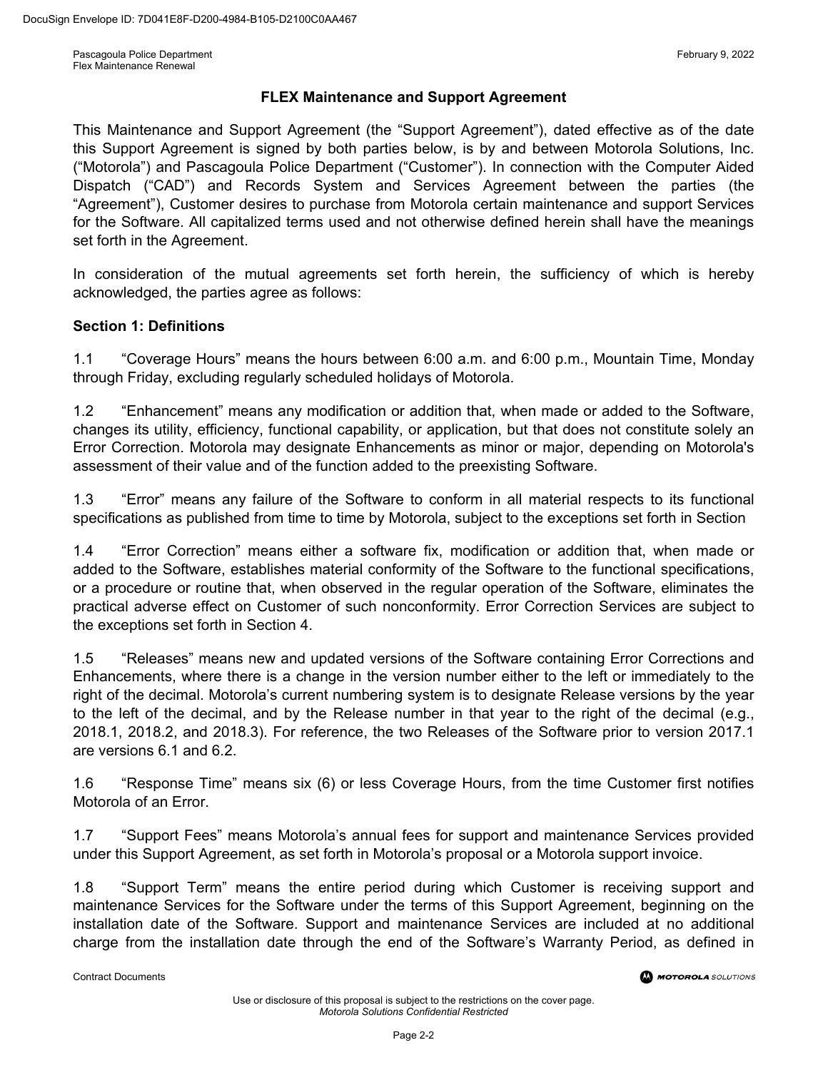#### **FLEX Maintenance and Support Agreement**

This Maintenance and Support Agreement (the "Support Agreement"), dated effective as of the date this Support Agreement is signed by both parties below, is by and between Motorola Solutions, Inc. ("Motorola") and Pascagoula Police Department ("Customer"). In connection with the Computer Aided Dispatch ("CAD") and Records System and Services Agreement between the parties (the "Agreement"), Customer desires to purchase from Motorola certain maintenance and support Services for the Software. All capitalized terms used and not otherwise defined herein shall have the meanings set forth in the Agreement.

In consideration of the mutual agreements set forth herein, the sufficiency of which is hereby acknowledged, the parties agree as follows:

#### **Section 1: Definitions**

1.1 "Coverage Hours" means the hours between 6:00 a.m. and 6:00 p.m., Mountain Time, Monday through Friday, excluding regularly scheduled holidays of Motorola.

1.2 "Enhancement" means any modification or addition that, when made or added to the Software, changes its utility, efficiency, functional capability, or application, but that does not constitute solely an Error Correction. Motorola may designate Enhancements as minor or major, depending on Motorola's assessment of their value and of the function added to the preexisting Software.

1.3 "Error" means any failure of the Software to conform in all material respects to its functional specifications as published from time to time by Motorola, subject to the exceptions set forth in Section

1.4 "Error Correction" means either a software fix, modification or addition that, when made or added to the Software, establishes material conformity of the Software to the functional specifications, or a procedure or routine that, when observed in the regular operation of the Software, eliminates the practical adverse effect on Customer of such nonconformity. Error Correction Services are subject to the exceptions set forth in Section 4.

1.5 "Releases" means new and updated versions of the Software containing Error Corrections and Enhancements, where there is a change in the version number either to the left or immediately to the right of the decimal. Motorola's current numbering system is to designate Release versions by the year to the left of the decimal, and by the Release number in that year to the right of the decimal (e.g., 2018.1, 2018.2, and 2018.3). For reference, the two Releases of the Software prior to version 2017.1 are versions 6.1 and 6.2.

1.6 "Response Time" means six (6) or less Coverage Hours, from the time Customer first notifies Motorola of an Error.

1.7 "Support Fees" means Motorola's annual fees for support and maintenance Services provided under this Support Agreement, as set forth in Motorola's proposal or a Motorola support invoice.

1.8 "Support Term" means the entire period during which Customer is receiving support and maintenance Services for the Software under the terms of this Support Agreement, beginning on the installation date of the Software. Support and maintenance Services are included at no additional charge from the installation date through the end of the Software's Warranty Period, as defined in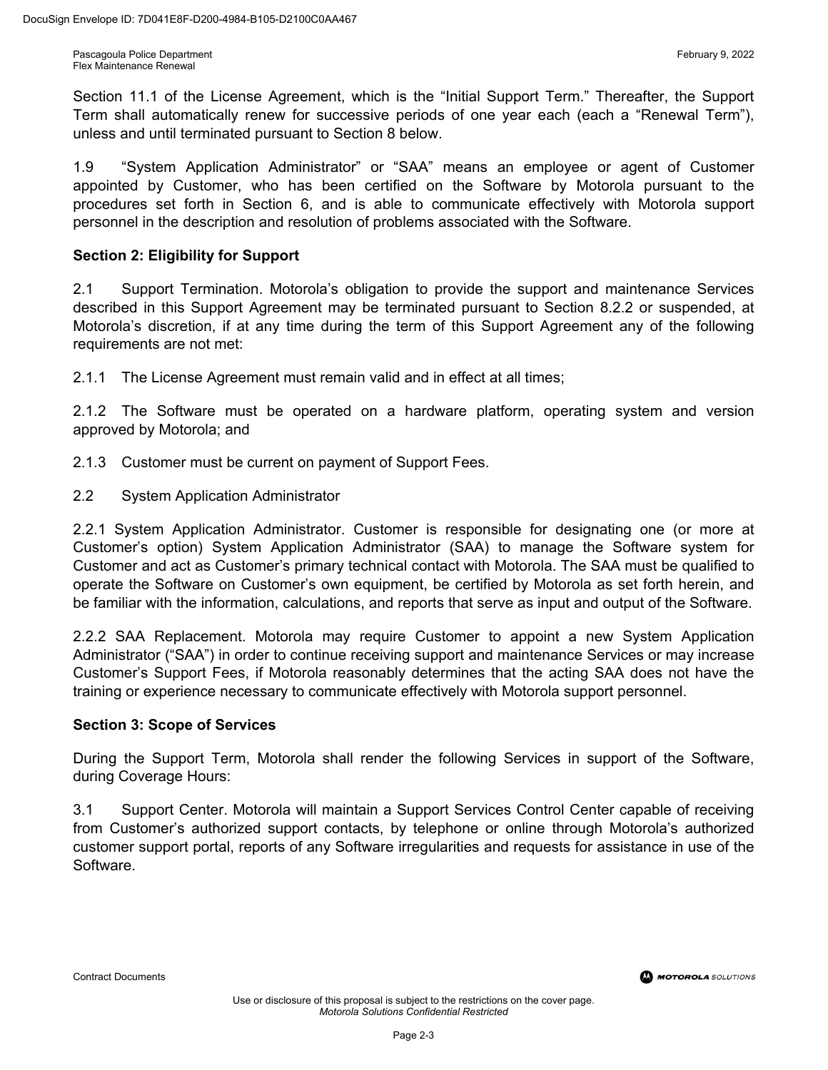Section 11.1 of the License Agreement, which is the "Initial Support Term." Thereafter, the Support Term shall automatically renew for successive periods of one year each (each a "Renewal Term"), unless and until terminated pursuant to Section 8 below.

1.9 "System Application Administrator" or "SAA" means an employee or agent of Customer appointed by Customer, who has been certified on the Software by Motorola pursuant to the procedures set forth in Section 6, and is able to communicate effectively with Motorola support personnel in the description and resolution of problems associated with the Software.

#### **Section 2: Eligibility for Support**

2.1 Support Termination. Motorola's obligation to provide the support and maintenance Services described in this Support Agreement may be terminated pursuant to Section 8.2.2 or suspended, at Motorola's discretion, if at any time during the term of this Support Agreement any of the following requirements are not met:

2.1.1 The License Agreement must remain valid and in effect at all times;

2.1.2 The Software must be operated on a hardware platform, operating system and version approved by Motorola; and

- 2.1.3 Customer must be current on payment of Support Fees.
- 2.2 System Application Administrator

2.2.1 System Application Administrator. Customer is responsible for designating one (or more at Customer's option) System Application Administrator (SAA) to manage the Software system for Customer and act as Customer's primary technical contact with Motorola. The SAA must be qualified to operate the Software on Customer's own equipment, be certified by Motorola as set forth herein, and be familiar with the information, calculations, and reports that serve as input and output of the Software.

2.2.2 SAA Replacement. Motorola may require Customer to appoint a new System Application Administrator ("SAA") in order to continue receiving support and maintenance Services or may increase Customer's Support Fees, if Motorola reasonably determines that the acting SAA does not have the training or experience necessary to communicate effectively with Motorola support personnel.

#### **Section 3: Scope of Services**

During the Support Term, Motorola shall render the following Services in support of the Software, during Coverage Hours:

3.1 Support Center. Motorola will maintain a Support Services Control Center capable of receiving from Customer's authorized support contacts, by telephone or online through Motorola's authorized customer support portal, reports of any Software irregularities and requests for assistance in use of the Software.

Contract Documents

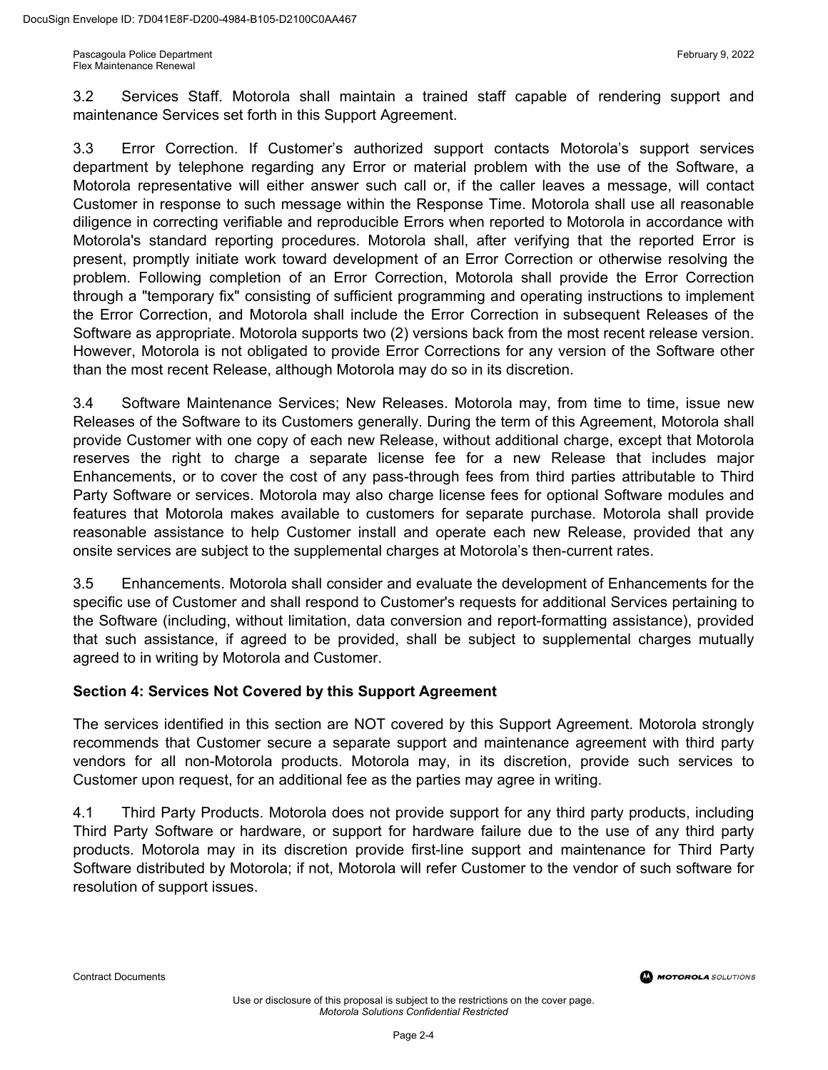3.2 Services Staff. Motorola shall maintain a trained staff capable of rendering support and maintenance Services set forth in this Support Agreement.

3.3 Error Correction. If Customer's authorized support contacts Motorola's support services department by telephone regarding any Error or material problem with the use of the Software, a Motorola representative will either answer such call or, if the caller leaves a message, will contact Customer in response to such message within the Response Time. Motorola shall use all reasonable diligence in correcting verifiable and reproducible Errors when reported to Motorola in accordance with Motorola's standard reporting procedures. Motorola shall, after verifying that the reported Error is present, promptly initiate work toward development of an Error Correction or otherwise resolving the problem. Following completion of an Error Correction, Motorola shall provide the Error Correction through a "temporary fix" consisting of sufficient programming and operating instructions to implement the Error Correction, and Motorola shall include the Error Correction in subsequent Releases of the Software as appropriate. Motorola supports two (2) versions back from the most recent release version. However, Motorola is not obligated to provide Error Corrections for any version of the Software other than the most recent Release, although Motorola may do so in its discretion.

3.4 Software Maintenance Services; New Releases. Motorola may, from time to time, issue new Releases of the Software to its Customers generally. During the term of this Agreement, Motorola shall provide Customer with one copy of each new Release, without additional charge, except that Motorola reserves the right to charge a separate license fee for a new Release that includes major Enhancements, or to cover the cost of any pass-through fees from third parties attributable to Third Party Software or services. Motorola may also charge license fees for optional Software modules and features that Motorola makes available to customers for separate purchase. Motorola shall provide reasonable assistance to help Customer install and operate each new Release, provided that any onsite services are subject to the supplemental charges at Motorola's then-current rates.

3.5 Enhancements. Motorola shall consider and evaluate the development of Enhancements for the specific use of Customer and shall respond to Customer's requests for additional Services pertaining to the Software (including, without limitation, data conversion and report-formatting assistance), provided that such assistance, if agreed to be provided, shall be subject to supplemental charges mutually agreed to in writing by Motorola and Customer.

#### **Section 4: Services Not Covered by this Support Agreement**

The services identified in this section are NOT covered by this Support Agreement. Motorola strongly recommends that Customer secure a separate support and maintenance agreement with third party vendors for all non-Motorola products. Motorola may, in its discretion, provide such services to Customer upon request, for an additional fee as the parties may agree in writing.

4.1 Third Party Products. Motorola does not provide support for any third party products, including Third Party Software or hardware, or support for hardware failure due to the use of any third party products. Motorola may in its discretion provide first-line support and maintenance for Third Party Software distributed by Motorola; if not, Motorola will refer Customer to the vendor of such software for resolution of support issues.

Contract Documents

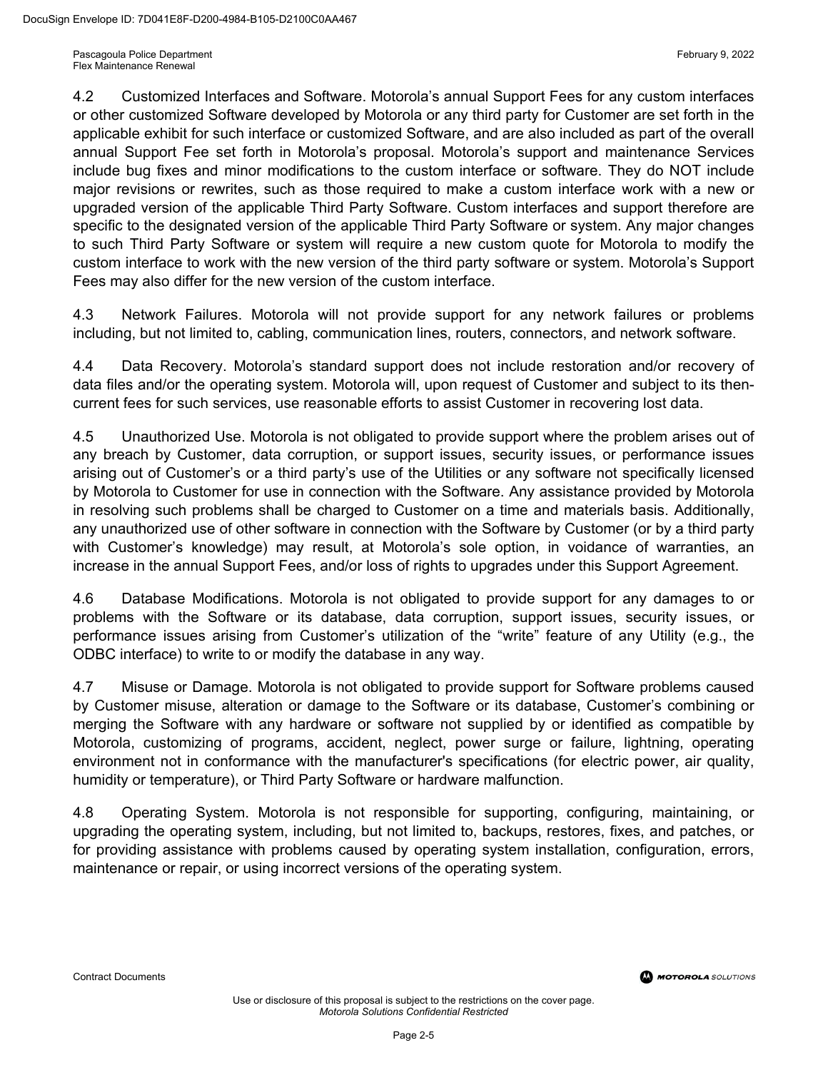4.2 Customized Interfaces and Software. Motorola's annual Support Fees for any custom interfaces or other customized Software developed by Motorola or any third party for Customer are set forth in the applicable exhibit for such interface or customized Software, and are also included as part of the overall annual Support Fee set forth in Motorola's proposal. Motorola's support and maintenance Services include bug fixes and minor modifications to the custom interface or software. They do NOT include major revisions or rewrites, such as those required to make a custom interface work with a new or upgraded version of the applicable Third Party Software. Custom interfaces and support therefore are specific to the designated version of the applicable Third Party Software or system. Any major changes to such Third Party Software or system will require a new custom quote for Motorola to modify the custom interface to work with the new version of the third party software or system. Motorola's Support Fees may also differ for the new version of the custom interface.

4.3 Network Failures. Motorola will not provide support for any network failures or problems including, but not limited to, cabling, communication lines, routers, connectors, and network software.

4.4 Data Recovery. Motorola's standard support does not include restoration and/or recovery of data files and/or the operating system. Motorola will, upon request of Customer and subject to its thencurrent fees for such services, use reasonable efforts to assist Customer in recovering lost data.

4.5 Unauthorized Use. Motorola is not obligated to provide support where the problem arises out of any breach by Customer, data corruption, or support issues, security issues, or performance issues arising out of Customer's or a third party's use of the Utilities or any software not specifically licensed by Motorola to Customer for use in connection with the Software. Any assistance provided by Motorola in resolving such problems shall be charged to Customer on a time and materials basis. Additionally, any unauthorized use of other software in connection with the Software by Customer (or by a third party with Customer's knowledge) may result, at Motorola's sole option, in voidance of warranties, an increase in the annual Support Fees, and/or loss of rights to upgrades under this Support Agreement.

4.6 Database Modifications. Motorola is not obligated to provide support for any damages to or problems with the Software or its database, data corruption, support issues, security issues, or performance issues arising from Customer's utilization of the "write" feature of any Utility (e.g., the ODBC interface) to write to or modify the database in any way.

4.7 Misuse or Damage. Motorola is not obligated to provide support for Software problems caused by Customer misuse, alteration or damage to the Software or its database, Customer's combining or merging the Software with any hardware or software not supplied by or identified as compatible by Motorola, customizing of programs, accident, neglect, power surge or failure, lightning, operating environment not in conformance with the manufacturer's specifications (for electric power, air quality, humidity or temperature), or Third Party Software or hardware malfunction.

4.8 Operating System. Motorola is not responsible for supporting, configuring, maintaining, or upgrading the operating system, including, but not limited to, backups, restores, fixes, and patches, or for providing assistance with problems caused by operating system installation, configuration, errors, maintenance or repair, or using incorrect versions of the operating system.

Contract Documents

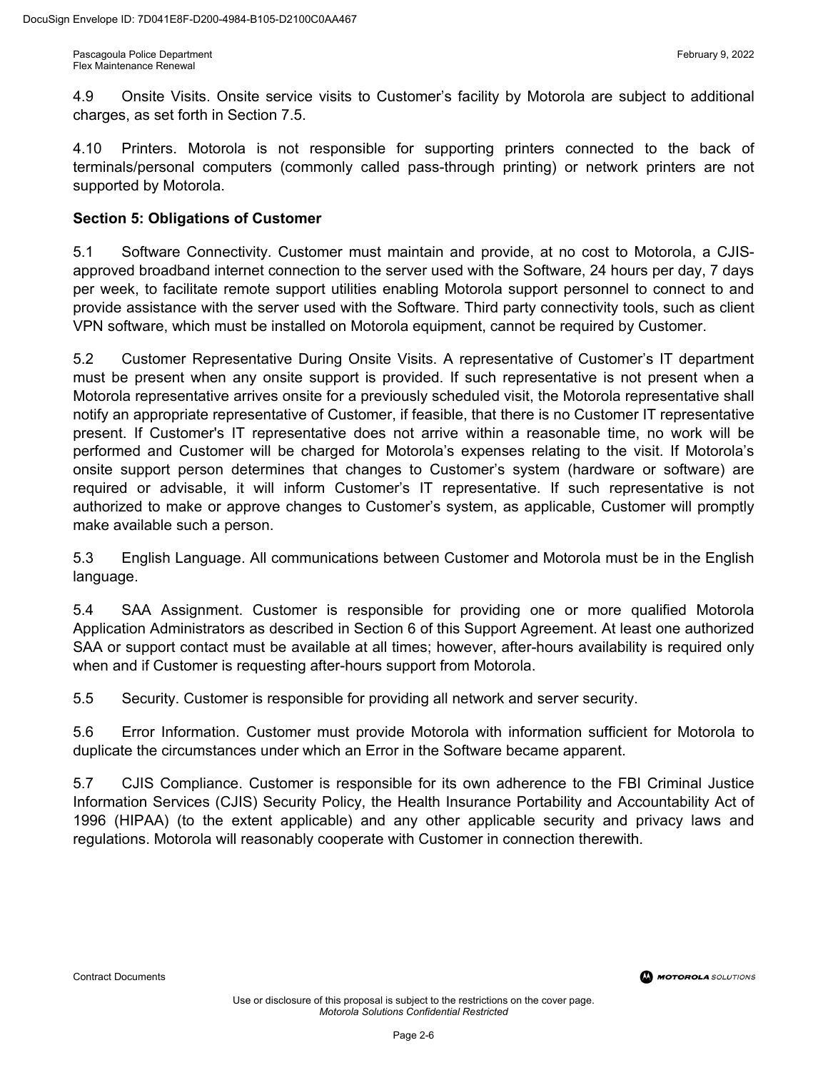4.9 Onsite Visits. Onsite service visits to Customer's facility by Motorola are subject to additional charges, as set forth in Section 7.5.

4.10 Printers. Motorola is not responsible for supporting printers connected to the back of terminals/personal computers (commonly called pass-through printing) or network printers are not supported by Motorola.

#### **Section 5: Obligations of Customer**

5.1 Software Connectivity. Customer must maintain and provide, at no cost to Motorola, a CJISapproved broadband internet connection to the server used with the Software, 24 hours per day, 7 days per week, to facilitate remote support utilities enabling Motorola support personnel to connect to and provide assistance with the server used with the Software. Third party connectivity tools, such as client VPN software, which must be installed on Motorola equipment, cannot be required by Customer.

5.2 Customer Representative During Onsite Visits. A representative of Customer's IT department must be present when any onsite support is provided. If such representative is not present when a Motorola representative arrives onsite for a previously scheduled visit, the Motorola representative shall notify an appropriate representative of Customer, if feasible, that there is no Customer IT representative present. If Customer's IT representative does not arrive within a reasonable time, no work will be performed and Customer will be charged for Motorola's expenses relating to the visit. If Motorola's onsite support person determines that changes to Customer's system (hardware or software) are required or advisable, it will inform Customer's IT representative. If such representative is not authorized to make or approve changes to Customer's system, as applicable, Customer will promptly make available such a person.

5.3 English Language. All communications between Customer and Motorola must be in the English language.

5.4 SAA Assignment. Customer is responsible for providing one or more qualified Motorola Application Administrators as described in Section 6 of this Support Agreement. At least one authorized SAA or support contact must be available at all times; however, after-hours availability is required only when and if Customer is requesting after-hours support from Motorola.

5.5 Security. Customer is responsible for providing all network and server security.

5.6 Error Information. Customer must provide Motorola with information sufficient for Motorola to duplicate the circumstances under which an Error in the Software became apparent.

5.7 CJIS Compliance. Customer is responsible for its own adherence to the FBI Criminal Justice Information Services (CJIS) Security Policy, the Health Insurance Portability and Accountability Act of 1996 (HIPAA) (to the extent applicable) and any other applicable security and privacy laws and regulations. Motorola will reasonably cooperate with Customer in connection therewith.

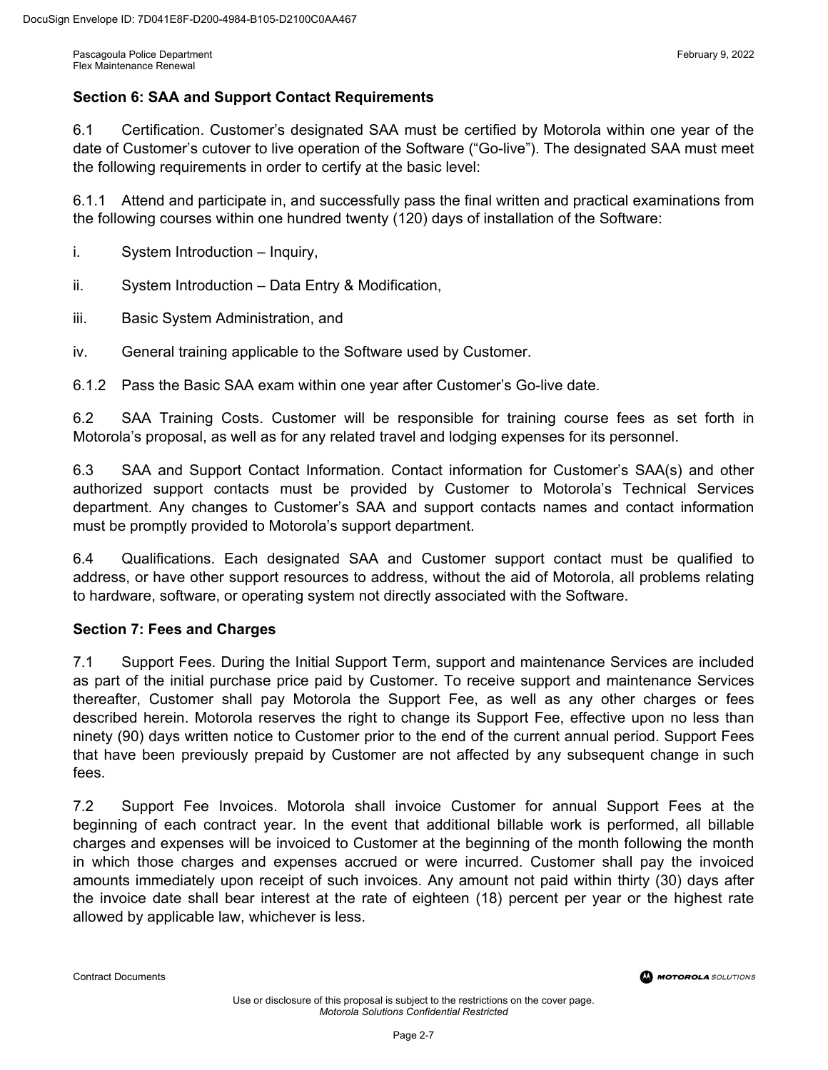#### **Section 6: SAA and Support Contact Requirements**

6.1 Certification. Customer's designated SAA must be certified by Motorola within one year of the date of Customer's cutover to live operation of the Software ("Go-live"). The designated SAA must meet the following requirements in order to certify at the basic level:

6.1.1 Attend and participate in, and successfully pass the final written and practical examinations from the following courses within one hundred twenty (120) days of installation of the Software:

- i. System Introduction Inquiry,
- ii. System Introduction Data Entry & Modification,
- iii. Basic System Administration, and
- iv. General training applicable to the Software used by Customer.

6.1.2 Pass the Basic SAA exam within one year after Customer's Go-live date.

6.2 SAA Training Costs. Customer will be responsible for training course fees as set forth in Motorola's proposal, as well as for any related travel and lodging expenses for its personnel.

6.3 SAA and Support Contact Information. Contact information for Customer's SAA(s) and other authorized support contacts must be provided by Customer to Motorola's Technical Services department. Any changes to Customer's SAA and support contacts names and contact information must be promptly provided to Motorola's support department.

6.4 Qualifications. Each designated SAA and Customer support contact must be qualified to address, or have other support resources to address, without the aid of Motorola, all problems relating to hardware, software, or operating system not directly associated with the Software.

#### **Section 7: Fees and Charges**

7.1 Support Fees. During the Initial Support Term, support and maintenance Services are included as part of the initial purchase price paid by Customer. To receive support and maintenance Services thereafter, Customer shall pay Motorola the Support Fee, as well as any other charges or fees described herein. Motorola reserves the right to change its Support Fee, effective upon no less than ninety (90) days written notice to Customer prior to the end of the current annual period. Support Fees that have been previously prepaid by Customer are not affected by any subsequent change in such fees.

7.2 Support Fee Invoices. Motorola shall invoice Customer for annual Support Fees at the beginning of each contract year. In the event that additional billable work is performed, all billable charges and expenses will be invoiced to Customer at the beginning of the month following the month in which those charges and expenses accrued or were incurred. Customer shall pay the invoiced amounts immediately upon receipt of such invoices. Any amount not paid within thirty (30) days after the invoice date shall bear interest at the rate of eighteen (18) percent per year or the highest rate allowed by applicable law, whichever is less.

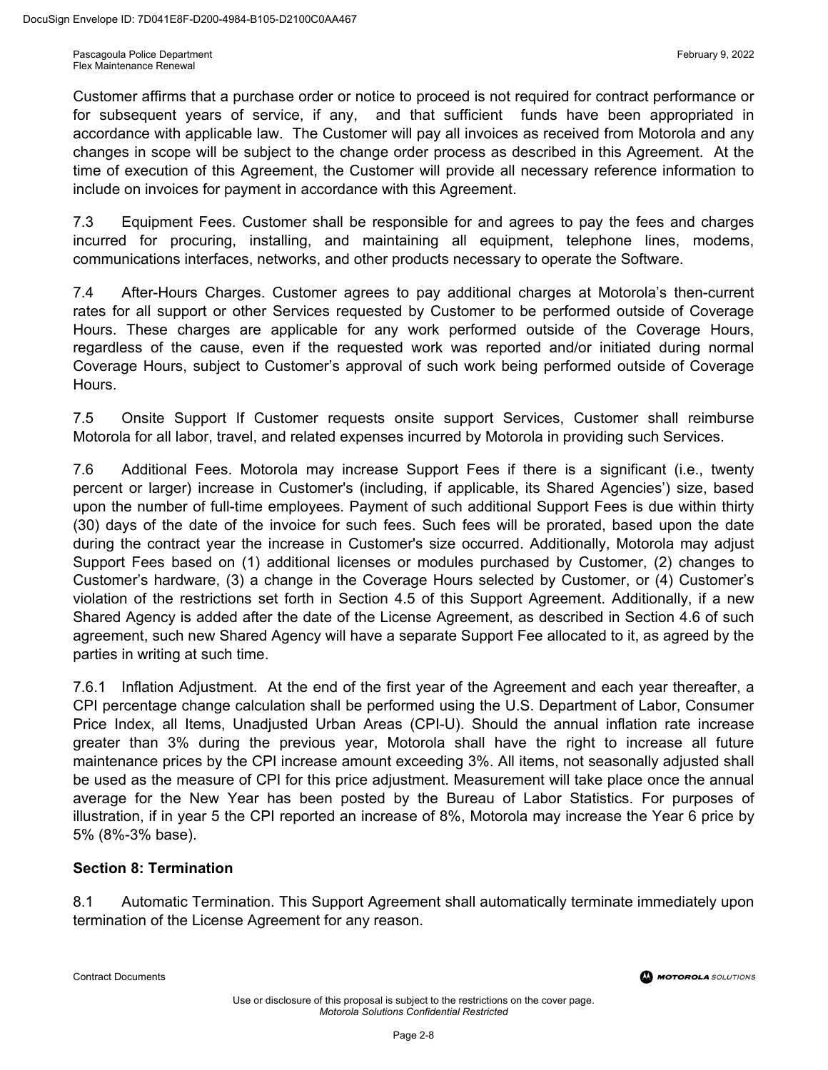Customer affirms that a purchase order or notice to proceed is not required for contract performance or for subsequent years of service, if any, and that sufficient funds have been appropriated in accordance with applicable law. The Customer will pay all invoices as received from Motorola and any changes in scope will be subject to the change order process as described in this Agreement. At the time of execution of this Agreement, the Customer will provide all necessary reference information to include on invoices for payment in accordance with this Agreement.

7.3 Equipment Fees. Customer shall be responsible for and agrees to pay the fees and charges incurred for procuring, installing, and maintaining all equipment, telephone lines, modems, communications interfaces, networks, and other products necessary to operate the Software.

7.4 After-Hours Charges. Customer agrees to pay additional charges at Motorola's then-current rates for all support or other Services requested by Customer to be performed outside of Coverage Hours. These charges are applicable for any work performed outside of the Coverage Hours, regardless of the cause, even if the requested work was reported and/or initiated during normal Coverage Hours, subject to Customer's approval of such work being performed outside of Coverage Hours.

7.5 Onsite Support If Customer requests onsite support Services, Customer shall reimburse Motorola for all labor, travel, and related expenses incurred by Motorola in providing such Services.

7.6 Additional Fees. Motorola may increase Support Fees if there is a significant (i.e., twenty percent or larger) increase in Customer's (including, if applicable, its Shared Agencies') size, based upon the number of full-time employees. Payment of such additional Support Fees is due within thirty (30) days of the date of the invoice for such fees. Such fees will be prorated, based upon the date during the contract year the increase in Customer's size occurred. Additionally, Motorola may adjust Support Fees based on (1) additional licenses or modules purchased by Customer, (2) changes to Customer's hardware, (3) a change in the Coverage Hours selected by Customer, or (4) Customer's violation of the restrictions set forth in Section 4.5 of this Support Agreement. Additionally, if a new Shared Agency is added after the date of the License Agreement, as described in Section 4.6 of such agreement, such new Shared Agency will have a separate Support Fee allocated to it, as agreed by the parties in writing at such time.

7.6.1 Inflation Adjustment. At the end of the first year of the Agreement and each year thereafter, a CPI percentage change calculation shall be performed using the U.S. Department of Labor, Consumer Price Index, all Items, Unadjusted Urban Areas (CPI-U). Should the annual inflation rate increase greater than 3% during the previous year, Motorola shall have the right to increase all future maintenance prices by the CPI increase amount exceeding 3%. All items, not seasonally adjusted shall be used as the measure of CPI for this price adjustment. Measurement will take place once the annual average for the New Year has been posted by the Bureau of Labor Statistics. For purposes of illustration, if in year 5 the CPI reported an increase of 8%, Motorola may increase the Year 6 price by 5% (8%-3% base).

#### **Section 8: Termination**

8.1 Automatic Termination. This Support Agreement shall automatically terminate immediately upon termination of the License Agreement for any reason.